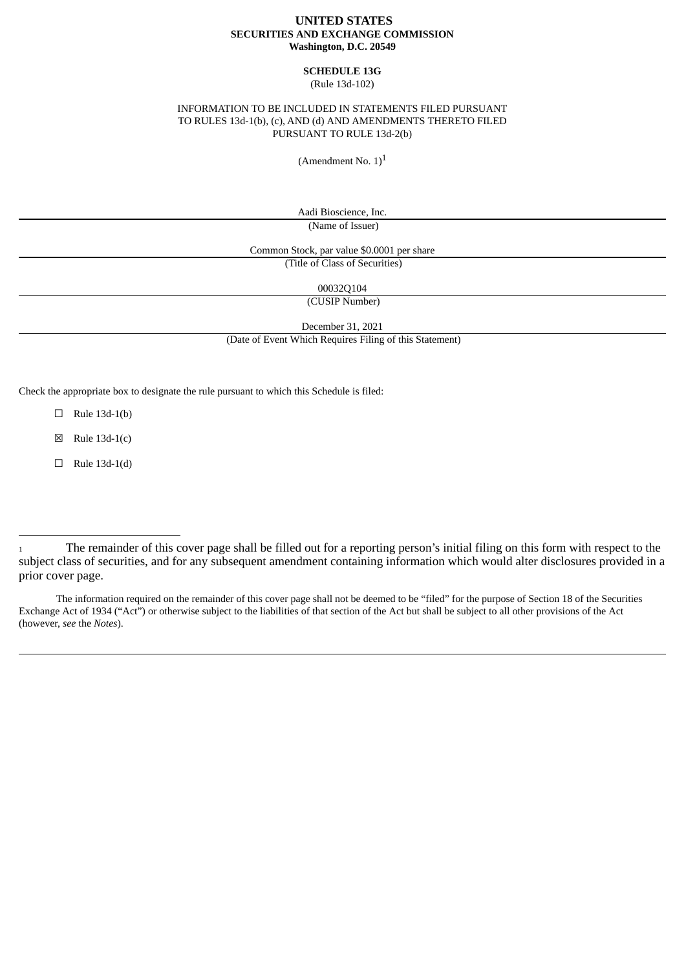#### **UNITED STATES SECURITIES AND EXCHANGE COMMISSION Washington, D.C. 20549**

#### **SCHEDULE 13G** (Rule 13d-102)

#### INFORMATION TO BE INCLUDED IN STATEMENTS FILED PURSUANT TO RULES 13d-1(b), (c), AND (d) AND AMENDMENTS THERETO FILED PURSUANT TO RULE 13d-2(b)

(Amendment No.  $1$ )<sup>1</sup>

Aadi Bioscience, Inc. (Name of Issuer)

Common Stock, par value \$0.0001 per share (Title of Class of Securities)

00032Q104

(CUSIP Number)

December 31, 2021

(Date of Event Which Requires Filing of this Statement)

Check the appropriate box to designate the rule pursuant to which this Schedule is filed:

 $\Box$  Rule 13d-1(b)

 $\boxtimes$  Rule 13d-1(c)

 $\Box$  Rule 13d-1(d)

The information required on the remainder of this cover page shall not be deemed to be "filed" for the purpose of Section 18 of the Securities Exchange Act of 1934 ("Act") or otherwise subject to the liabilities of that section of the Act but shall be subject to all other provisions of the Act (however, *see* the *Notes*).

<sup>1</sup> The remainder of this cover page shall be filled out for a reporting person's initial filing on this form with respect to the subject class of securities, and for any subsequent amendment containing information which would alter disclosures provided in a prior cover page.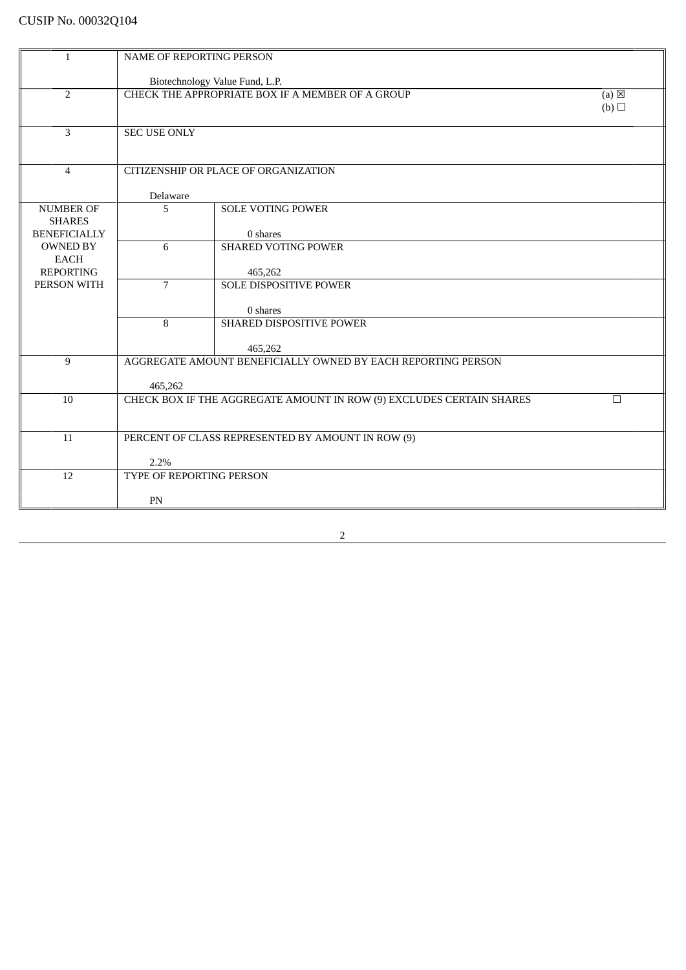| $\mathbf{1}$                           | NAME OF REPORTING PERSON |                                                                      |                        |
|----------------------------------------|--------------------------|----------------------------------------------------------------------|------------------------|
|                                        |                          |                                                                      |                        |
|                                        |                          | Biotechnology Value Fund, L.P.                                       |                        |
| $\overline{2}$                         |                          | <b>CHECK THE APPROPRIATE BOX IF A MEMBER OF A GROUP</b>              | $(a) \boxtimes$<br>(b) |
|                                        |                          |                                                                      |                        |
| 3                                      | <b>SEC USE ONLY</b>      |                                                                      |                        |
|                                        |                          |                                                                      |                        |
| $\overline{4}$                         |                          | CITIZENSHIP OR PLACE OF ORGANIZATION                                 |                        |
|                                        |                          |                                                                      |                        |
|                                        | Delaware                 |                                                                      |                        |
| <b>NUMBER OF</b>                       | 5                        | <b>SOLE VOTING POWER</b>                                             |                        |
| <b>SHARES</b>                          |                          |                                                                      |                        |
| <b>BENEFICIALLY</b><br><b>OWNED BY</b> | 6                        | 0 shares<br><b>SHARED VOTING POWER</b>                               |                        |
| <b>EACH</b>                            |                          |                                                                      |                        |
| <b>REPORTING</b>                       |                          | 465,262                                                              |                        |
| PERSON WITH                            | $\overline{7}$           | <b>SOLE DISPOSITIVE POWER</b>                                        |                        |
|                                        |                          | 0 shares                                                             |                        |
|                                        | 8                        | SHARED DISPOSITIVE POWER                                             |                        |
|                                        |                          |                                                                      |                        |
|                                        |                          | 465,262                                                              |                        |
| 9                                      |                          | AGGREGATE AMOUNT BENEFICIALLY OWNED BY EACH REPORTING PERSON         |                        |
|                                        |                          |                                                                      |                        |
| 10                                     | 465,262                  | CHECK BOX IF THE AGGREGATE AMOUNT IN ROW (9) EXCLUDES CERTAIN SHARES | $\Box$                 |
|                                        |                          |                                                                      |                        |
|                                        |                          |                                                                      |                        |
| 11                                     |                          | PERCENT OF CLASS REPRESENTED BY AMOUNT IN ROW (9)                    |                        |
|                                        | 2.2%                     |                                                                      |                        |
| 12                                     | TYPE OF REPORTING PERSON |                                                                      |                        |
|                                        |                          |                                                                      |                        |
|                                        | PN                       |                                                                      |                        |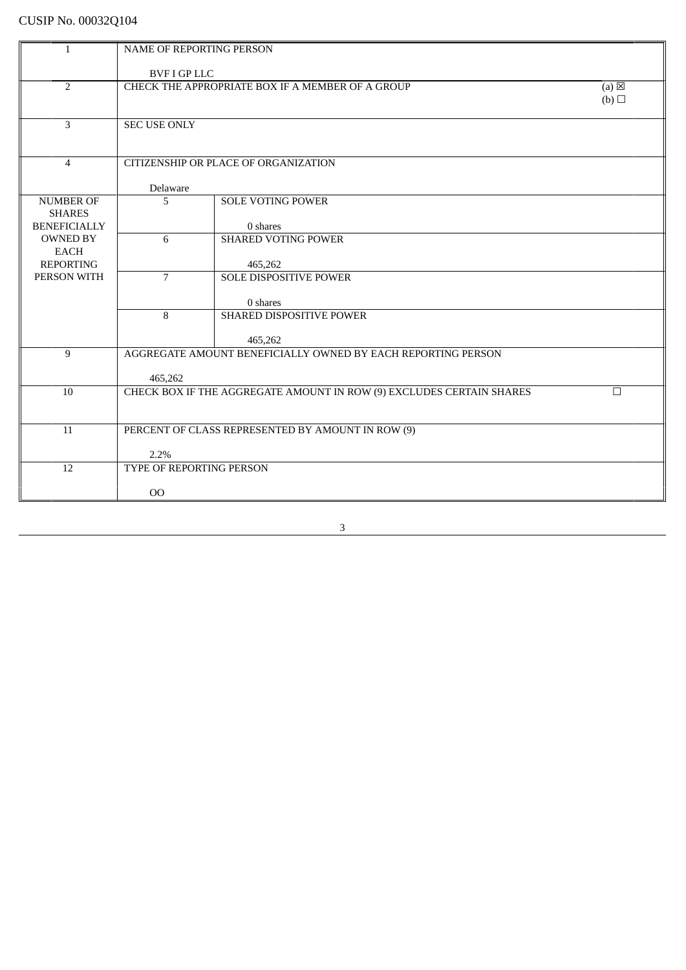| $\mathbf{1}$                    | <b>NAME OF REPORTING PERSON</b> |                                                                      |                 |
|---------------------------------|---------------------------------|----------------------------------------------------------------------|-----------------|
|                                 |                                 |                                                                      |                 |
|                                 | <b>BVF I GP LLC</b>             |                                                                      |                 |
| $\overline{2}$                  |                                 | CHECK THE APPROPRIATE BOX IF A MEMBER OF A GROUP                     | $(a) \boxtimes$ |
|                                 |                                 |                                                                      | (b)             |
| 3                               | <b>SEC USE ONLY</b>             |                                                                      |                 |
|                                 |                                 |                                                                      |                 |
|                                 |                                 |                                                                      |                 |
| $\overline{4}$                  |                                 | CITIZENSHIP OR PLACE OF ORGANIZATION                                 |                 |
|                                 | Delaware                        |                                                                      |                 |
| <b>NUMBER OF</b>                | 5                               | <b>SOLE VOTING POWER</b>                                             |                 |
| <b>SHARES</b>                   |                                 |                                                                      |                 |
| <b>BENEFICIALLY</b>             |                                 | 0 shares                                                             |                 |
| <b>OWNED BY</b>                 | 6                               | <b>SHARED VOTING POWER</b>                                           |                 |
| <b>EACH</b>                     |                                 |                                                                      |                 |
| <b>REPORTING</b><br>PERSON WITH |                                 | 465,262                                                              |                 |
|                                 | $\overline{7}$                  | <b>SOLE DISPOSITIVE POWER</b>                                        |                 |
|                                 |                                 | 0 shares                                                             |                 |
|                                 | 8                               | SHARED DISPOSITIVE POWER                                             |                 |
|                                 |                                 |                                                                      |                 |
|                                 |                                 | 465,262                                                              |                 |
| 9                               |                                 | AGGREGATE AMOUNT BENEFICIALLY OWNED BY EACH REPORTING PERSON         |                 |
|                                 | 465,262                         |                                                                      |                 |
| 10                              |                                 | CHECK BOX IF THE AGGREGATE AMOUNT IN ROW (9) EXCLUDES CERTAIN SHARES | $\Box$          |
|                                 |                                 |                                                                      |                 |
|                                 |                                 |                                                                      |                 |
| 11                              |                                 | PERCENT OF CLASS REPRESENTED BY AMOUNT IN ROW (9)                    |                 |
|                                 | 2.2%                            |                                                                      |                 |
| 12                              | <b>TYPE OF REPORTING PERSON</b> |                                                                      |                 |
|                                 |                                 |                                                                      |                 |
|                                 | 00                              |                                                                      |                 |
|                                 |                                 |                                                                      |                 |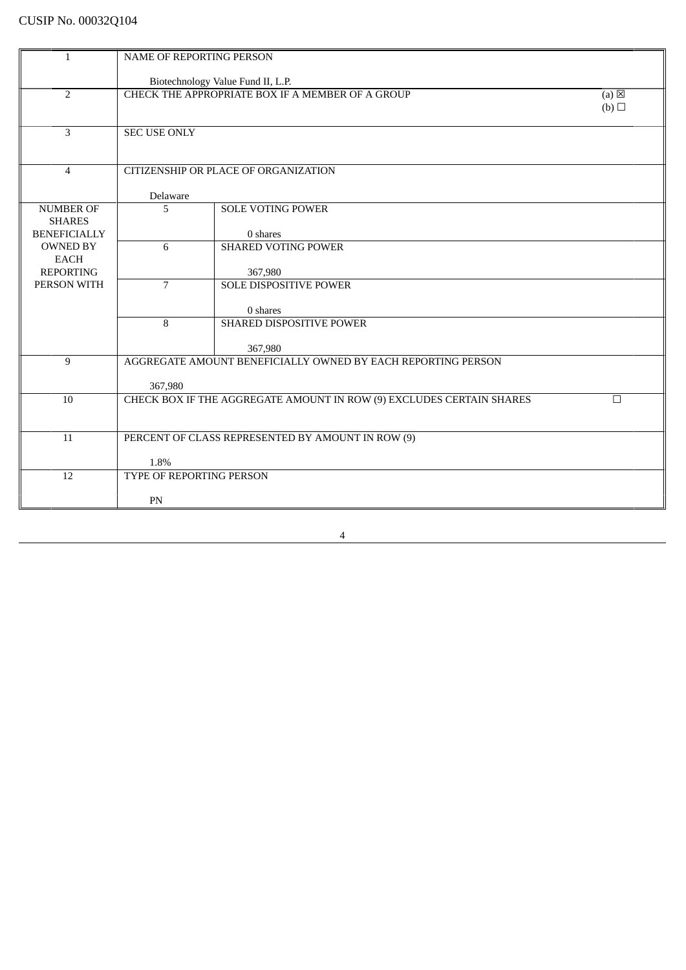| $\mathbf{1}$                           | NAME OF REPORTING PERSON         |                                                                      |                 |
|----------------------------------------|----------------------------------|----------------------------------------------------------------------|-----------------|
|                                        |                                  |                                                                      |                 |
|                                        |                                  | Biotechnology Value Fund II, L.P.                                    |                 |
| $\overline{2}$                         |                                  | CHECK THE APPROPRIATE BOX IF A MEMBER OF A GROUP                     | $(a) \boxtimes$ |
|                                        |                                  |                                                                      | (b)             |
| 3                                      | <b>SEC USE ONLY</b>              |                                                                      |                 |
|                                        |                                  |                                                                      |                 |
|                                        |                                  |                                                                      |                 |
| $\overline{4}$                         |                                  | CITIZENSHIP OR PLACE OF ORGANIZATION                                 |                 |
|                                        | Delaware                         |                                                                      |                 |
| <b>NUMBER OF</b>                       | 5                                | <b>SOLE VOTING POWER</b>                                             |                 |
| <b>SHARES</b>                          |                                  |                                                                      |                 |
| <b>BENEFICIALLY</b><br><b>OWNED BY</b> |                                  | 0 shares                                                             |                 |
| <b>EACH</b>                            | 6                                | <b>SHARED VOTING POWER</b>                                           |                 |
| <b>REPORTING</b>                       |                                  | 367,980                                                              |                 |
| PERSON WITH                            | $\overline{7}$                   | SOLE DISPOSITIVE POWER                                               |                 |
|                                        |                                  |                                                                      |                 |
|                                        |                                  | 0 shares                                                             |                 |
|                                        | 8                                | SHARED DISPOSITIVE POWER                                             |                 |
|                                        |                                  | 367,980                                                              |                 |
| 9                                      |                                  | AGGREGATE AMOUNT BENEFICIALLY OWNED BY EACH REPORTING PERSON         |                 |
|                                        |                                  |                                                                      |                 |
| 10                                     | 367,980                          | CHECK BOX IF THE AGGREGATE AMOUNT IN ROW (9) EXCLUDES CERTAIN SHARES | $\Box$          |
|                                        |                                  |                                                                      |                 |
|                                        |                                  |                                                                      |                 |
| 11                                     |                                  | PERCENT OF CLASS REPRESENTED BY AMOUNT IN ROW (9)                    |                 |
|                                        |                                  |                                                                      |                 |
| 12                                     | 1.8%<br>TYPE OF REPORTING PERSON |                                                                      |                 |
|                                        |                                  |                                                                      |                 |
|                                        | PN                               |                                                                      |                 |
|                                        |                                  |                                                                      |                 |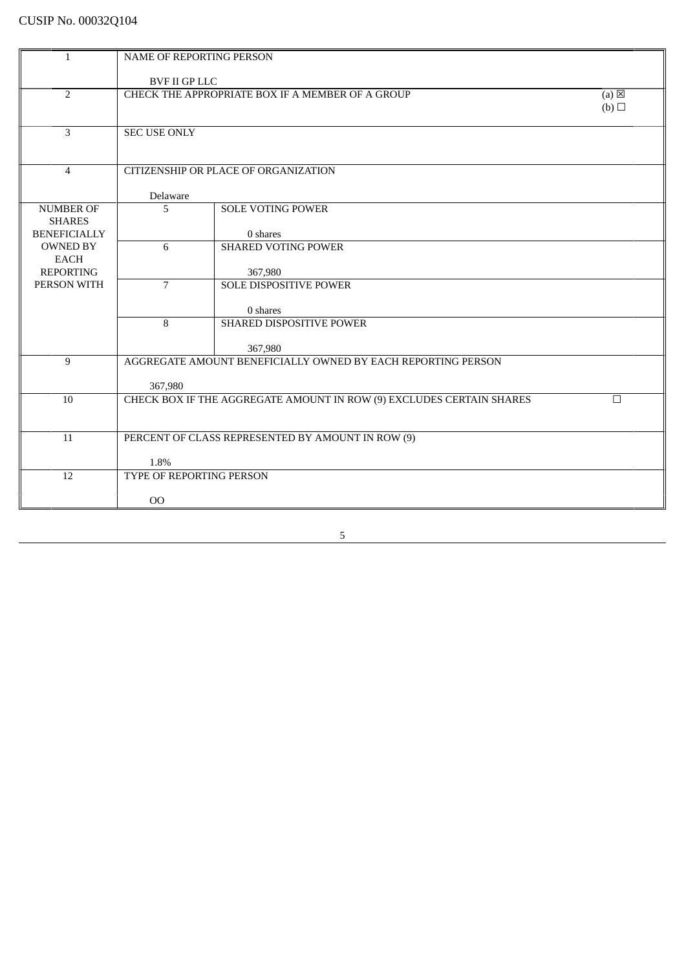| 1                   | <b>NAME OF REPORTING PERSON</b> |                                                                      |                 |
|---------------------|---------------------------------|----------------------------------------------------------------------|-----------------|
|                     |                                 |                                                                      |                 |
|                     | <b>BVF II GP LLC</b>            |                                                                      |                 |
| $\overline{2}$      |                                 | CHECK THE APPROPRIATE BOX IF A MEMBER OF A GROUP                     | $(a) \boxtimes$ |
|                     |                                 |                                                                      | (b)             |
|                     |                                 |                                                                      |                 |
| 3                   | <b>SEC USE ONLY</b>             |                                                                      |                 |
|                     |                                 |                                                                      |                 |
| $\overline{4}$      |                                 | CITIZENSHIP OR PLACE OF ORGANIZATION                                 |                 |
|                     |                                 |                                                                      |                 |
|                     | Delaware                        |                                                                      |                 |
| <b>NUMBER OF</b>    | 5                               | <b>SOLE VOTING POWER</b>                                             |                 |
| <b>SHARES</b>       |                                 |                                                                      |                 |
| <b>BENEFICIALLY</b> |                                 | 0 shares                                                             |                 |
| <b>OWNED BY</b>     | 6                               | <b>SHARED VOTING POWER</b>                                           |                 |
| <b>EACH</b>         |                                 |                                                                      |                 |
| <b>REPORTING</b>    |                                 | 367,980                                                              |                 |
| PERSON WITH         | $\overline{7}$                  | <b>SOLE DISPOSITIVE POWER</b>                                        |                 |
|                     |                                 | 0 shares                                                             |                 |
|                     | 8                               | SHARED DISPOSITIVE POWER                                             |                 |
|                     |                                 |                                                                      |                 |
|                     |                                 | 367,980                                                              |                 |
| $\overline{9}$      |                                 | AGGREGATE AMOUNT BENEFICIALLY OWNED BY EACH REPORTING PERSON         |                 |
|                     |                                 |                                                                      |                 |
|                     | 367,980                         |                                                                      |                 |
| 10                  |                                 | CHECK BOX IF THE AGGREGATE AMOUNT IN ROW (9) EXCLUDES CERTAIN SHARES | $\Box$          |
|                     |                                 |                                                                      |                 |
|                     |                                 |                                                                      |                 |
| 11                  |                                 | PERCENT OF CLASS REPRESENTED BY AMOUNT IN ROW (9)                    |                 |
|                     | 1.8%                            |                                                                      |                 |
| 12                  | TYPE OF REPORTING PERSON        |                                                                      |                 |
|                     |                                 |                                                                      |                 |
|                     | O <sub>O</sub>                  |                                                                      |                 |
|                     |                                 |                                                                      |                 |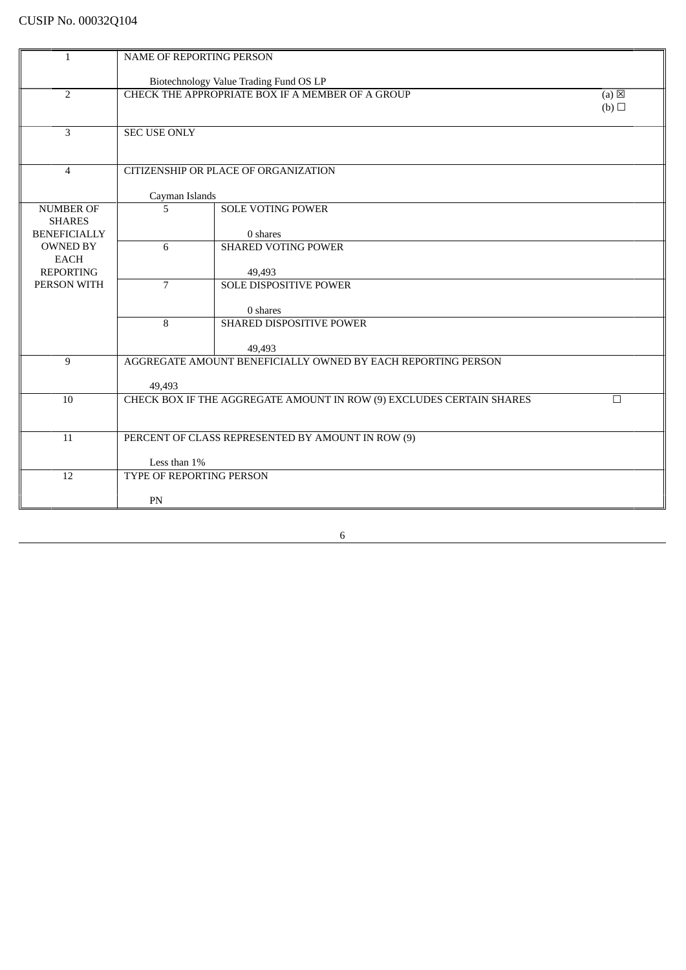| $\mathbf{1}$                           | NAME OF REPORTING PERSON                 |                                                                                            |                 |
|----------------------------------------|------------------------------------------|--------------------------------------------------------------------------------------------|-----------------|
|                                        |                                          |                                                                                            |                 |
| $\overline{2}$                         |                                          | Biotechnology Value Trading Fund OS LP<br>CHECK THE APPROPRIATE BOX IF A MEMBER OF A GROUP | $(a) \boxtimes$ |
|                                        |                                          |                                                                                            | (b)             |
|                                        |                                          |                                                                                            |                 |
| 3                                      | <b>SEC USE ONLY</b>                      |                                                                                            |                 |
|                                        |                                          |                                                                                            |                 |
| $\overline{4}$                         |                                          | CITIZENSHIP OR PLACE OF ORGANIZATION                                                       |                 |
|                                        |                                          |                                                                                            |                 |
|                                        | Cayman Islands                           |                                                                                            |                 |
| <b>NUMBER OF</b>                       | 5                                        | <b>SOLE VOTING POWER</b>                                                                   |                 |
| <b>SHARES</b>                          |                                          |                                                                                            |                 |
| <b>BENEFICIALLY</b><br><b>OWNED BY</b> | 6                                        | 0 shares<br><b>SHARED VOTING POWER</b>                                                     |                 |
| <b>EACH</b>                            |                                          |                                                                                            |                 |
| <b>REPORTING</b>                       |                                          | 49,493                                                                                     |                 |
| PERSON WITH                            | $\overline{7}$                           | SOLE DISPOSITIVE POWER                                                                     |                 |
|                                        |                                          |                                                                                            |                 |
|                                        |                                          | 0 shares                                                                                   |                 |
|                                        | 8                                        | SHARED DISPOSITIVE POWER                                                                   |                 |
|                                        |                                          | 49,493                                                                                     |                 |
| 9                                      |                                          | AGGREGATE AMOUNT BENEFICIALLY OWNED BY EACH REPORTING PERSON                               |                 |
|                                        |                                          |                                                                                            |                 |
| 10                                     | 49,493                                   | CHECK BOX IF THE AGGREGATE AMOUNT IN ROW (9) EXCLUDES CERTAIN SHARES                       | $\Box$          |
|                                        |                                          |                                                                                            |                 |
|                                        |                                          |                                                                                            |                 |
| 11                                     |                                          | PERCENT OF CLASS REPRESENTED BY AMOUNT IN ROW (9)                                          |                 |
|                                        |                                          |                                                                                            |                 |
| 12                                     | Less than 1%<br>TYPE OF REPORTING PERSON |                                                                                            |                 |
|                                        |                                          |                                                                                            |                 |
|                                        | PN                                       |                                                                                            |                 |
|                                        |                                          |                                                                                            |                 |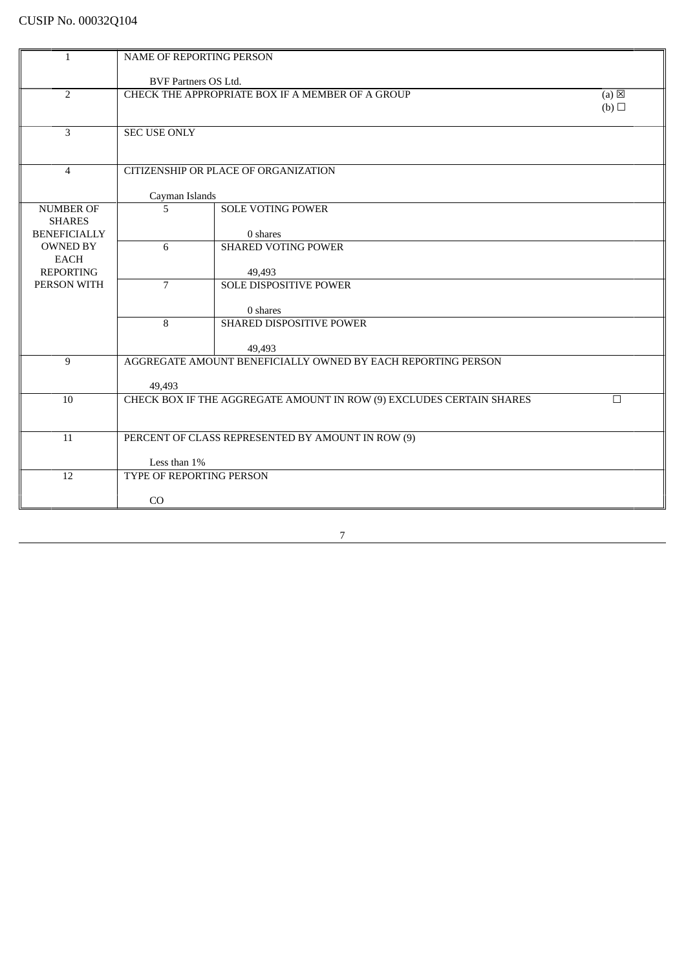| <b>NAME OF REPORTING PERSON</b><br>1<br>BVF Partners OS Ltd.<br>$\overline{2}$<br>CHECK THE APPROPRIATE BOX IF A MEMBER OF A GROUP<br>$(a) \boxtimes$<br>(b)<br>$\overline{3}$<br><b>SEC USE ONLY</b><br>CITIZENSHIP OR PLACE OF ORGANIZATION<br>$\overline{4}$<br>Cayman Islands<br>5<br><b>SOLE VOTING POWER</b><br><b>NUMBER OF</b><br><b>SHARES</b> |
|---------------------------------------------------------------------------------------------------------------------------------------------------------------------------------------------------------------------------------------------------------------------------------------------------------------------------------------------------------|
|                                                                                                                                                                                                                                                                                                                                                         |
|                                                                                                                                                                                                                                                                                                                                                         |
|                                                                                                                                                                                                                                                                                                                                                         |
|                                                                                                                                                                                                                                                                                                                                                         |
|                                                                                                                                                                                                                                                                                                                                                         |
|                                                                                                                                                                                                                                                                                                                                                         |
|                                                                                                                                                                                                                                                                                                                                                         |
|                                                                                                                                                                                                                                                                                                                                                         |
|                                                                                                                                                                                                                                                                                                                                                         |
|                                                                                                                                                                                                                                                                                                                                                         |
|                                                                                                                                                                                                                                                                                                                                                         |
|                                                                                                                                                                                                                                                                                                                                                         |
| <b>BENEFICIALLY</b><br>0 shares                                                                                                                                                                                                                                                                                                                         |
| <b>SHARED VOTING POWER</b><br><b>OWNED BY</b><br>6                                                                                                                                                                                                                                                                                                      |
| <b>EACH</b><br><b>REPORTING</b><br>49,493                                                                                                                                                                                                                                                                                                               |
| PERSON WITH<br><b>SOLE DISPOSITIVE POWER</b><br>$\overline{7}$                                                                                                                                                                                                                                                                                          |
|                                                                                                                                                                                                                                                                                                                                                         |
| 0 shares                                                                                                                                                                                                                                                                                                                                                |
| 8<br>SHARED DISPOSITIVE POWER                                                                                                                                                                                                                                                                                                                           |
|                                                                                                                                                                                                                                                                                                                                                         |
| 49,493<br>9<br>AGGREGATE AMOUNT BENEFICIALLY OWNED BY EACH REPORTING PERSON                                                                                                                                                                                                                                                                             |
|                                                                                                                                                                                                                                                                                                                                                         |
| 49,493                                                                                                                                                                                                                                                                                                                                                  |
| 10<br>CHECK BOX IF THE AGGREGATE AMOUNT IN ROW (9) EXCLUDES CERTAIN SHARES<br>$\Box$                                                                                                                                                                                                                                                                    |
|                                                                                                                                                                                                                                                                                                                                                         |
|                                                                                                                                                                                                                                                                                                                                                         |
| PERCENT OF CLASS REPRESENTED BY AMOUNT IN ROW (9)<br>11                                                                                                                                                                                                                                                                                                 |
| Less than 1%                                                                                                                                                                                                                                                                                                                                            |
| 12<br><b>TYPE OF REPORTING PERSON</b>                                                                                                                                                                                                                                                                                                                   |
|                                                                                                                                                                                                                                                                                                                                                         |
| CO                                                                                                                                                                                                                                                                                                                                                      |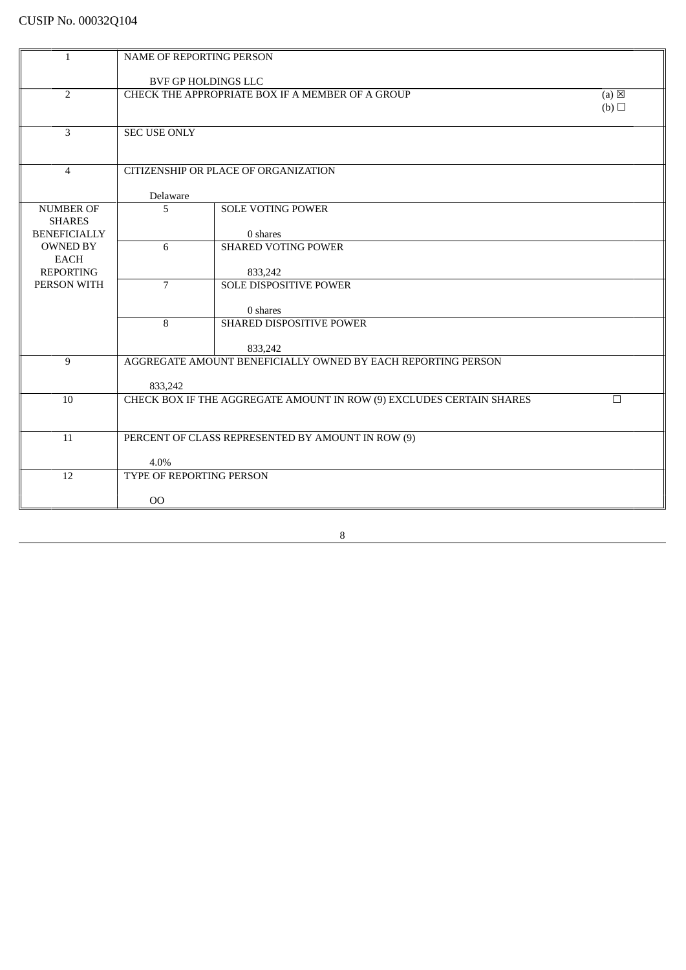| $\mathbf{1}$                           | <b>NAME OF REPORTING PERSON</b> |                                                                      |                          |
|----------------------------------------|---------------------------------|----------------------------------------------------------------------|--------------------------|
|                                        |                                 |                                                                      |                          |
| $\overline{2}$                         |                                 | BVF GP HOLDINGS LLC                                                  |                          |
|                                        |                                 | CHECK THE APPROPRIATE BOX IF A MEMBER OF A GROUP                     | $(a)$ $\boxtimes$<br>(b) |
|                                        |                                 |                                                                      |                          |
| 3                                      | <b>SEC USE ONLY</b>             |                                                                      |                          |
|                                        |                                 |                                                                      |                          |
| $\overline{4}$                         |                                 | CITIZENSHIP OR PLACE OF ORGANIZATION                                 |                          |
|                                        |                                 |                                                                      |                          |
|                                        | Delaware                        |                                                                      |                          |
| <b>NUMBER OF</b>                       | 5                               | <b>SOLE VOTING POWER</b>                                             |                          |
| <b>SHARES</b>                          |                                 |                                                                      |                          |
| <b>BENEFICIALLY</b><br><b>OWNED BY</b> | 6                               | 0 shares<br><b>SHARED VOTING POWER</b>                               |                          |
| <b>EACH</b>                            |                                 |                                                                      |                          |
| <b>REPORTING</b>                       |                                 | 833,242                                                              |                          |
| PERSON WITH                            | $\overline{7}$                  | <b>SOLE DISPOSITIVE POWER</b>                                        |                          |
|                                        |                                 |                                                                      |                          |
|                                        | 8                               | 0 shares<br>SHARED DISPOSITIVE POWER                                 |                          |
|                                        |                                 |                                                                      |                          |
|                                        |                                 | 833,242                                                              |                          |
| 9                                      |                                 | AGGREGATE AMOUNT BENEFICIALLY OWNED BY EACH REPORTING PERSON         |                          |
|                                        | 833,242                         |                                                                      |                          |
| 10                                     |                                 | CHECK BOX IF THE AGGREGATE AMOUNT IN ROW (9) EXCLUDES CERTAIN SHARES | $\Box$                   |
|                                        |                                 |                                                                      |                          |
|                                        |                                 |                                                                      |                          |
| 11                                     |                                 | PERCENT OF CLASS REPRESENTED BY AMOUNT IN ROW (9)                    |                          |
|                                        | 4.0%                            |                                                                      |                          |
| 12                                     | TYPE OF REPORTING PERSON        |                                                                      |                          |
|                                        |                                 |                                                                      |                          |
|                                        | O <sub>O</sub>                  |                                                                      |                          |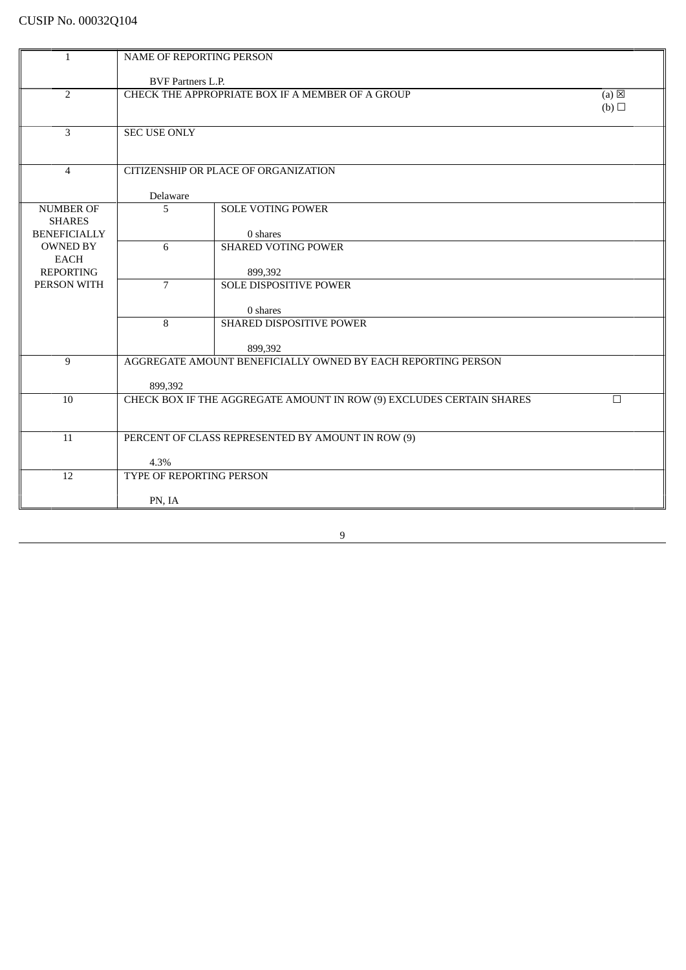| 1                               | <b>NAME OF REPORTING PERSON</b> |                                                                      |                 |
|---------------------------------|---------------------------------|----------------------------------------------------------------------|-----------------|
|                                 |                                 |                                                                      |                 |
|                                 | <b>BVF Partners L.P.</b>        |                                                                      |                 |
| $\overline{2}$                  |                                 | CHECK THE APPROPRIATE BOX IF A MEMBER OF A GROUP                     | $(a) \boxtimes$ |
|                                 |                                 |                                                                      | (b)             |
|                                 |                                 |                                                                      |                 |
| 3                               | <b>SEC USE ONLY</b>             |                                                                      |                 |
|                                 |                                 |                                                                      |                 |
| $\overline{4}$                  |                                 | CITIZENSHIP OR PLACE OF ORGANIZATION                                 |                 |
|                                 |                                 |                                                                      |                 |
|                                 | Delaware                        |                                                                      |                 |
| <b>NUMBER OF</b>                | 5                               | <b>SOLE VOTING POWER</b>                                             |                 |
| <b>SHARES</b>                   |                                 |                                                                      |                 |
| <b>BENEFICIALLY</b>             |                                 | 0 shares                                                             |                 |
| <b>OWNED BY</b>                 | 6                               | <b>SHARED VOTING POWER</b>                                           |                 |
| <b>EACH</b>                     |                                 |                                                                      |                 |
| <b>REPORTING</b><br>PERSON WITH |                                 | 899,392                                                              |                 |
|                                 | $\overline{7}$                  | <b>SOLE DISPOSITIVE POWER</b>                                        |                 |
|                                 |                                 | 0 shares                                                             |                 |
|                                 | 8                               | SHARED DISPOSITIVE POWER                                             |                 |
|                                 |                                 |                                                                      |                 |
|                                 |                                 | 899,392                                                              |                 |
| 9                               |                                 | AGGREGATE AMOUNT BENEFICIALLY OWNED BY EACH REPORTING PERSON         |                 |
|                                 |                                 |                                                                      |                 |
|                                 | 899,392                         |                                                                      |                 |
| 10                              |                                 | CHECK BOX IF THE AGGREGATE AMOUNT IN ROW (9) EXCLUDES CERTAIN SHARES | $\Box$          |
|                                 |                                 |                                                                      |                 |
| 11                              |                                 |                                                                      |                 |
|                                 |                                 | PERCENT OF CLASS REPRESENTED BY AMOUNT IN ROW (9)                    |                 |
|                                 | 4.3%                            |                                                                      |                 |
| 12                              | TYPE OF REPORTING PERSON        |                                                                      |                 |
|                                 |                                 |                                                                      |                 |
|                                 | PN, IA                          |                                                                      |                 |
|                                 |                                 |                                                                      |                 |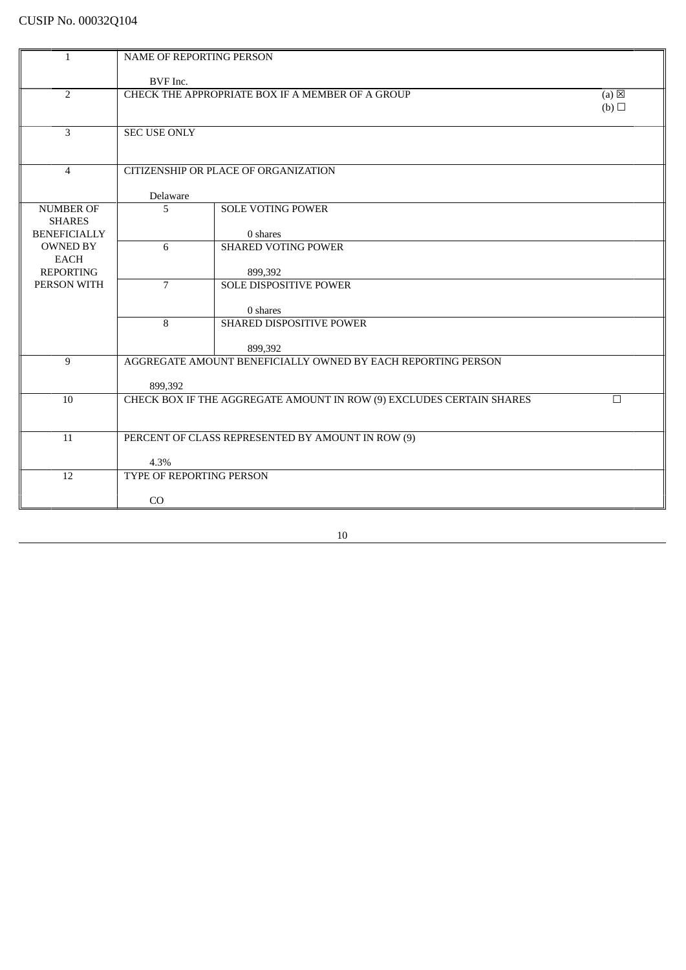| $\mathbf{1}$        | <b>NAME OF REPORTING PERSON</b> |                                                                      |                 |
|---------------------|---------------------------------|----------------------------------------------------------------------|-----------------|
|                     |                                 |                                                                      |                 |
|                     | BVF Inc.                        |                                                                      |                 |
| $\overline{2}$      |                                 | CHECK THE APPROPRIATE BOX IF A MEMBER OF A GROUP                     | $(a) \boxtimes$ |
|                     |                                 |                                                                      | (b)             |
|                     |                                 |                                                                      |                 |
| $\overline{3}$      | <b>SEC USE ONLY</b>             |                                                                      |                 |
|                     |                                 |                                                                      |                 |
|                     |                                 |                                                                      |                 |
| $\overline{4}$      |                                 | CITIZENSHIP OR PLACE OF ORGANIZATION                                 |                 |
|                     |                                 |                                                                      |                 |
| <b>NUMBER OF</b>    | Delaware<br>5                   | <b>SOLE VOTING POWER</b>                                             |                 |
| <b>SHARES</b>       |                                 |                                                                      |                 |
| <b>BENEFICIALLY</b> |                                 | 0 shares                                                             |                 |
| <b>OWNED BY</b>     | 6                               | <b>SHARED VOTING POWER</b>                                           |                 |
| <b>EACH</b>         |                                 |                                                                      |                 |
| <b>REPORTING</b>    |                                 | 899,392                                                              |                 |
| PERSON WITH         | $\overline{7}$                  | <b>SOLE DISPOSITIVE POWER</b>                                        |                 |
|                     |                                 |                                                                      |                 |
|                     |                                 | 0 shares                                                             |                 |
|                     | 8                               | SHARED DISPOSITIVE POWER                                             |                 |
|                     |                                 |                                                                      |                 |
|                     |                                 | 899,392                                                              |                 |
| 9                   |                                 | AGGREGATE AMOUNT BENEFICIALLY OWNED BY EACH REPORTING PERSON         |                 |
|                     |                                 |                                                                      |                 |
|                     | 899,392                         |                                                                      |                 |
| 10                  |                                 | CHECK BOX IF THE AGGREGATE AMOUNT IN ROW (9) EXCLUDES CERTAIN SHARES | $\Box$          |
|                     |                                 |                                                                      |                 |
| 11                  |                                 | PERCENT OF CLASS REPRESENTED BY AMOUNT IN ROW (9)                    |                 |
|                     |                                 |                                                                      |                 |
|                     | 4.3%                            |                                                                      |                 |
| 12                  | TYPE OF REPORTING PERSON        |                                                                      |                 |
|                     |                                 |                                                                      |                 |
|                     | CO                              |                                                                      |                 |
|                     |                                 |                                                                      |                 |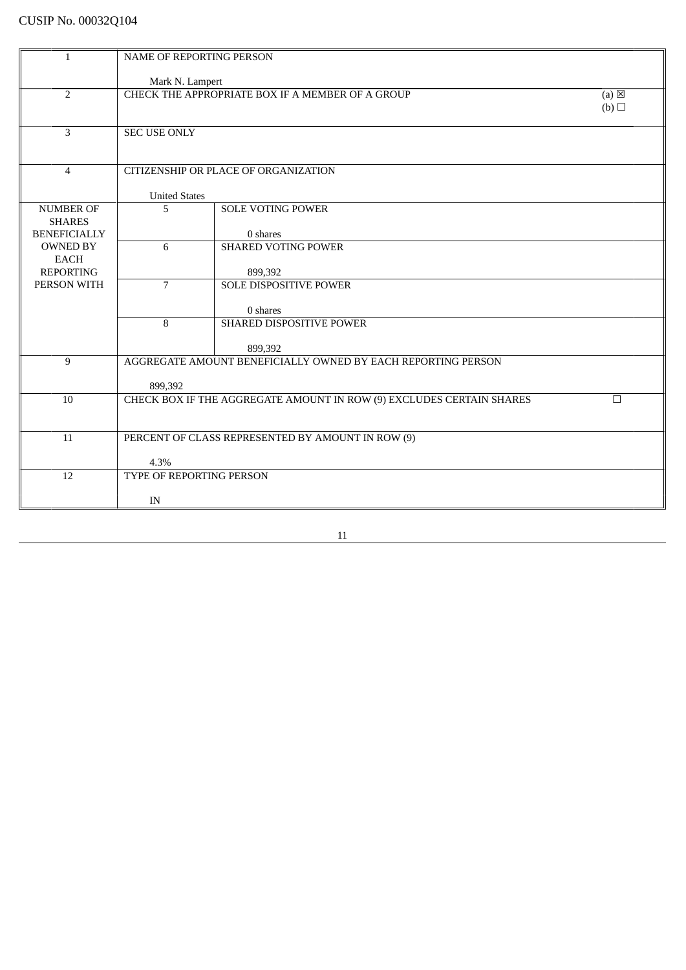|                                        | <b>NAME OF REPORTING PERSON</b> |                                                                      |                 |
|----------------------------------------|---------------------------------|----------------------------------------------------------------------|-----------------|
| 1                                      |                                 |                                                                      |                 |
|                                        | Mark N. Lampert                 |                                                                      |                 |
| $\overline{2}$                         |                                 | CHECK THE APPROPRIATE BOX IF A MEMBER OF A GROUP                     | $(a) \boxtimes$ |
|                                        |                                 |                                                                      | (b)             |
|                                        |                                 |                                                                      |                 |
| 3                                      | <b>SEC USE ONLY</b>             |                                                                      |                 |
|                                        |                                 |                                                                      |                 |
| $\overline{4}$                         |                                 | CITIZENSHIP OR PLACE OF ORGANIZATION                                 |                 |
|                                        |                                 |                                                                      |                 |
|                                        | <b>United States</b>            |                                                                      |                 |
| <b>NUMBER OF</b>                       | 5                               | <b>SOLE VOTING POWER</b>                                             |                 |
| <b>SHARES</b>                          |                                 |                                                                      |                 |
| <b>BENEFICIALLY</b><br><b>OWNED BY</b> | 6                               | 0 shares<br><b>SHARED VOTING POWER</b>                               |                 |
| <b>EACH</b>                            |                                 |                                                                      |                 |
| <b>REPORTING</b>                       |                                 | 899,392                                                              |                 |
| PERSON WITH                            | $\overline{7}$                  | <b>SOLE DISPOSITIVE POWER</b>                                        |                 |
|                                        |                                 |                                                                      |                 |
|                                        |                                 | 0 shares                                                             |                 |
|                                        | 8                               | SHARED DISPOSITIVE POWER                                             |                 |
|                                        |                                 | 899,392                                                              |                 |
| 9                                      |                                 | AGGREGATE AMOUNT BENEFICIALLY OWNED BY EACH REPORTING PERSON         |                 |
|                                        |                                 |                                                                      |                 |
|                                        | 899,392                         |                                                                      |                 |
| 10                                     |                                 | CHECK BOX IF THE AGGREGATE AMOUNT IN ROW (9) EXCLUDES CERTAIN SHARES | П               |
|                                        |                                 |                                                                      |                 |
| 11                                     |                                 | PERCENT OF CLASS REPRESENTED BY AMOUNT IN ROW (9)                    |                 |
|                                        |                                 |                                                                      |                 |
|                                        | 4.3%                            |                                                                      |                 |
| 12                                     | TYPE OF REPORTING PERSON        |                                                                      |                 |
|                                        |                                 |                                                                      |                 |
|                                        | IN                              |                                                                      |                 |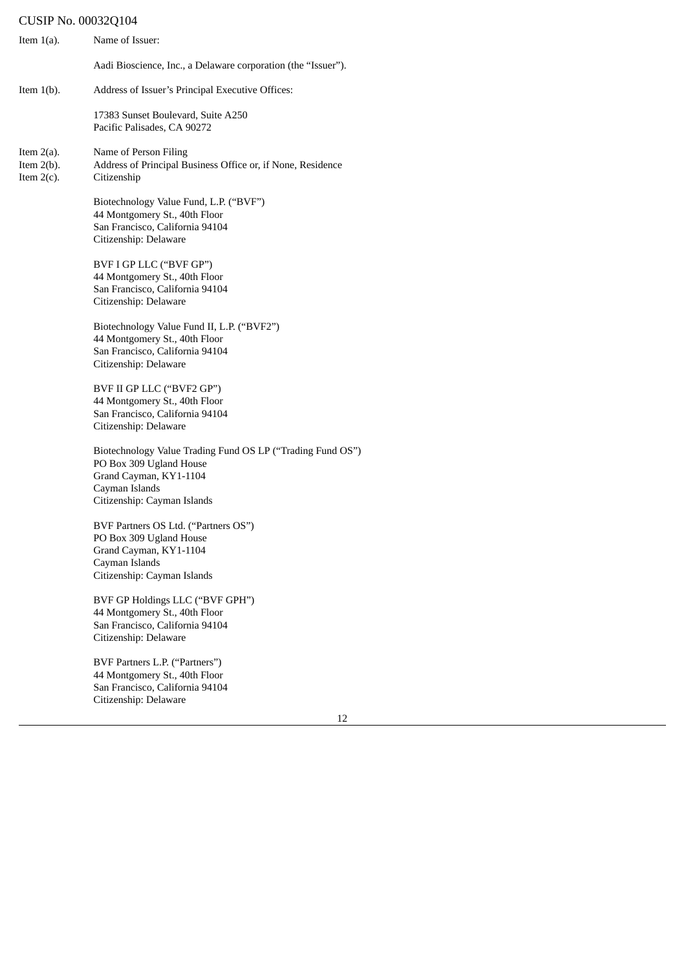| Item $1(a)$ .                                   | Name of Issuer:                                                                                                                                                  |
|-------------------------------------------------|------------------------------------------------------------------------------------------------------------------------------------------------------------------|
|                                                 | Aadi Bioscience, Inc., a Delaware corporation (the "Issuer").                                                                                                    |
| Item $1(b)$ .                                   | Address of Issuer's Principal Executive Offices:                                                                                                                 |
|                                                 | 17383 Sunset Boulevard, Suite A250<br>Pacific Palisades, CA 90272                                                                                                |
| Item $2(a)$ .<br>Item $2(b)$ .<br>Item $2(c)$ . | Name of Person Filing<br>Address of Principal Business Office or, if None, Residence<br>Citizenship                                                              |
|                                                 | Biotechnology Value Fund, L.P. ("BVF")<br>44 Montgomery St., 40th Floor<br>San Francisco, California 94104<br>Citizenship: Delaware                              |
|                                                 | BVF I GP LLC ("BVF GP")<br>44 Montgomery St., 40th Floor<br>San Francisco, California 94104<br>Citizenship: Delaware                                             |
|                                                 | Biotechnology Value Fund II, L.P. ("BVF2")<br>44 Montgomery St., 40th Floor<br>San Francisco, California 94104<br>Citizenship: Delaware                          |
|                                                 | BVF II GP LLC ("BVF2 GP")<br>44 Montgomery St., 40th Floor<br>San Francisco, California 94104<br>Citizenship: Delaware                                           |
|                                                 | Biotechnology Value Trading Fund OS LP ("Trading Fund OS")<br>PO Box 309 Ugland House<br>Grand Cayman, KY1-1104<br>Cayman Islands<br>Citizenship: Cayman Islands |
|                                                 | BVF Partners OS Ltd. ("Partners OS")<br>PO Box 309 Ugland House<br>Grand Cayman, KY1-1104<br>Cayman Islands<br>Citizenship: Cayman Islands                       |
|                                                 | BVF GP Holdings LLC ("BVF GPH")<br>44 Montgomery St., 40th Floor<br>San Francisco, California 94104<br>Citizenship: Delaware                                     |
|                                                 | BVF Partners L.P. ("Partners")<br>44 Montgomery St., 40th Floor<br>San Francisco, California 94104<br>Citizenship: Delaware                                      |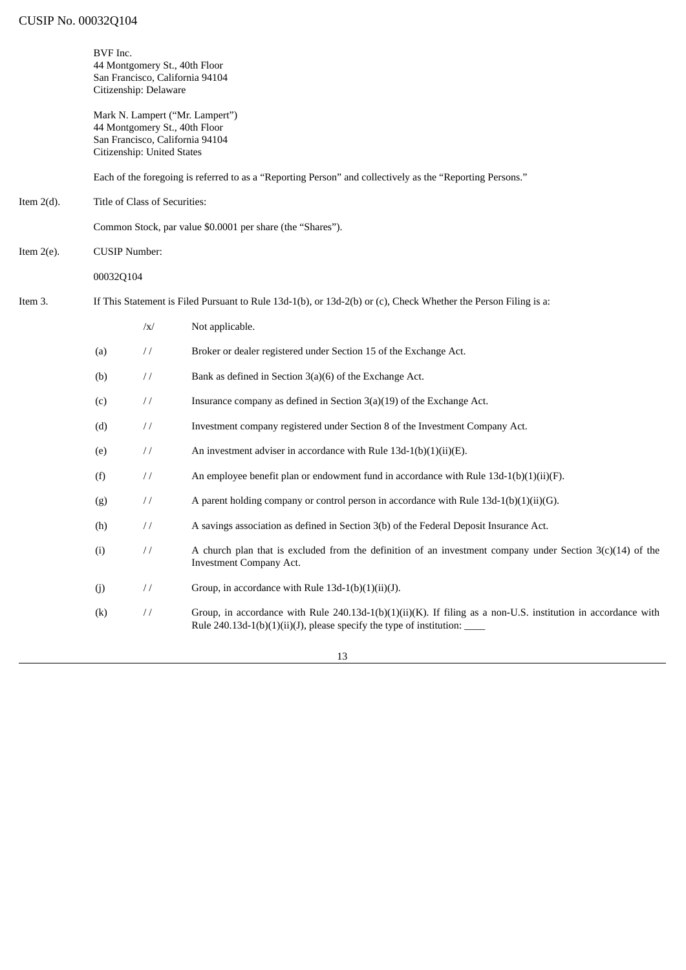|               | BVF Inc.             | 44 Montgomery St., 40th Floor<br>San Francisco, California 94104<br>Citizenship: Delaware      |                                                                                                                                                                                                     |
|---------------|----------------------|------------------------------------------------------------------------------------------------|-----------------------------------------------------------------------------------------------------------------------------------------------------------------------------------------------------|
|               |                      | 44 Montgomery St., 40th Floor<br>San Francisco, California 94104<br>Citizenship: United States | Mark N. Lampert ("Mr. Lampert")                                                                                                                                                                     |
|               |                      |                                                                                                | Each of the foregoing is referred to as a "Reporting Person" and collectively as the "Reporting Persons."                                                                                           |
| Item $2(d)$ . |                      | Title of Class of Securities:                                                                  |                                                                                                                                                                                                     |
|               |                      |                                                                                                | Common Stock, par value \$0.0001 per share (the "Shares").                                                                                                                                          |
| Item $2(e)$ . | <b>CUSIP Number:</b> |                                                                                                |                                                                                                                                                                                                     |
|               | 00032Q104            |                                                                                                |                                                                                                                                                                                                     |
| Item 3.       |                      |                                                                                                | If This Statement is Filed Pursuant to Rule $13d-1(b)$ , or $13d-2(b)$ or (c), Check Whether the Person Filing is a:                                                                                |
|               |                      | $\sqrt{x}$                                                                                     | Not applicable.                                                                                                                                                                                     |
|               | (a)                  | $\frac{1}{2}$                                                                                  | Broker or dealer registered under Section 15 of the Exchange Act.                                                                                                                                   |
|               | (b)                  | $\frac{1}{2}$                                                                                  | Bank as defined in Section $3(a)(6)$ of the Exchange Act.                                                                                                                                           |
|               | (c)                  | $\frac{1}{2}$                                                                                  | Insurance company as defined in Section $3(a)(19)$ of the Exchange Act.                                                                                                                             |
|               | (d)                  | $\frac{1}{2}$                                                                                  | Investment company registered under Section 8 of the Investment Company Act.                                                                                                                        |
|               | (e)                  | $\frac{1}{2}$                                                                                  | An investment adviser in accordance with Rule $13d-1(b)(1)(ii)(E)$ .                                                                                                                                |
|               | (f)                  | $\frac{1}{2}$                                                                                  | An employee benefit plan or endowment fund in accordance with Rule $13d-1(b)(1)(ii)(F)$ .                                                                                                           |
|               | (g)                  | $\frac{1}{2}$                                                                                  | A parent holding company or control person in accordance with Rule $13d-1(b)(1)(ii)(G)$ .                                                                                                           |
|               | (h)                  | $\frac{1}{2}$                                                                                  | A savings association as defined in Section 3(b) of the Federal Deposit Insurance Act.                                                                                                              |
|               | (i)                  | $\frac{1}{2}$                                                                                  | A church plan that is excluded from the definition of an investment company under Section $3(c)(14)$ of the<br><b>Investment Company Act.</b>                                                       |
|               | (j)                  | $\frac{1}{2}$                                                                                  | Group, in accordance with Rule $13d-1(b)(1)(ii)(J)$ .                                                                                                                                               |
|               | (k)                  | $\frac{1}{2}$                                                                                  | Group, in accordance with Rule 240.13d-1(b)(1)(ii)(K). If filing as a non-U.S. institution in accordance with<br>Rule 240.13d-1(b)(1)(ii)(J), please specify the type of institution: $\frac{1}{2}$ |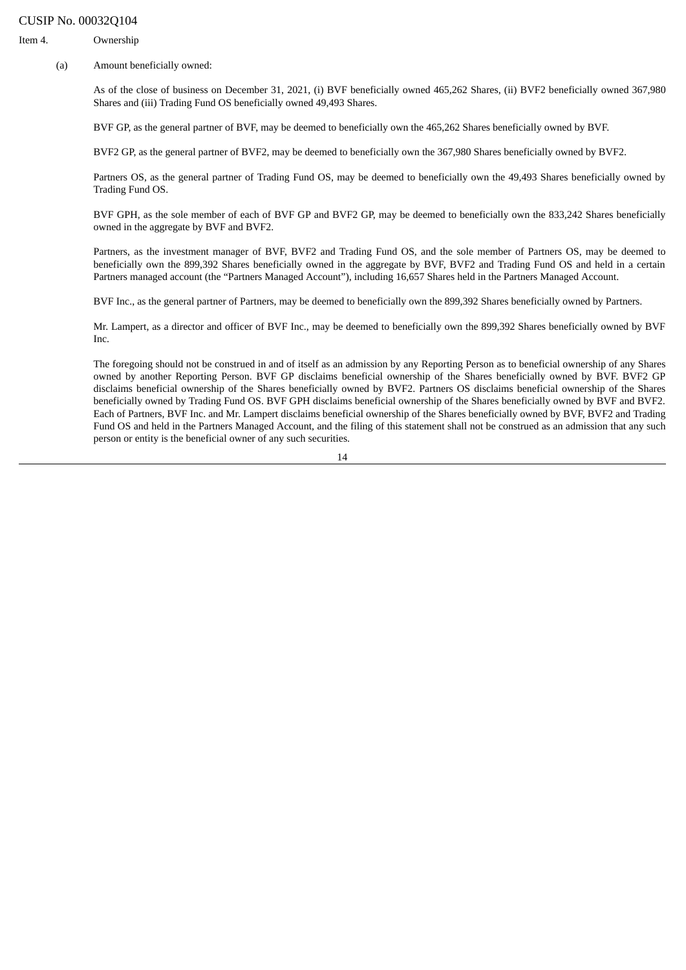Item 4. Ownership

(a) Amount beneficially owned:

As of the close of business on December 31, 2021, (i) BVF beneficially owned 465,262 Shares, (ii) BVF2 beneficially owned 367,980 Shares and (iii) Trading Fund OS beneficially owned 49,493 Shares.

BVF GP, as the general partner of BVF, may be deemed to beneficially own the 465,262 Shares beneficially owned by BVF.

BVF2 GP, as the general partner of BVF2, may be deemed to beneficially own the 367,980 Shares beneficially owned by BVF2.

Partners OS, as the general partner of Trading Fund OS, may be deemed to beneficially own the 49,493 Shares beneficially owned by Trading Fund OS.

BVF GPH, as the sole member of each of BVF GP and BVF2 GP, may be deemed to beneficially own the 833,242 Shares beneficially owned in the aggregate by BVF and BVF2.

Partners, as the investment manager of BVF, BVF2 and Trading Fund OS, and the sole member of Partners OS, may be deemed to beneficially own the 899,392 Shares beneficially owned in the aggregate by BVF, BVF2 and Trading Fund OS and held in a certain Partners managed account (the "Partners Managed Account"), including 16,657 Shares held in the Partners Managed Account.

BVF Inc., as the general partner of Partners, may be deemed to beneficially own the 899,392 Shares beneficially owned by Partners.

Mr. Lampert, as a director and officer of BVF Inc., may be deemed to beneficially own the 899,392 Shares beneficially owned by BVF Inc.

The foregoing should not be construed in and of itself as an admission by any Reporting Person as to beneficial ownership of any Shares owned by another Reporting Person. BVF GP disclaims beneficial ownership of the Shares beneficially owned by BVF. BVF2 GP disclaims beneficial ownership of the Shares beneficially owned by BVF2. Partners OS disclaims beneficial ownership of the Shares beneficially owned by Trading Fund OS. BVF GPH disclaims beneficial ownership of the Shares beneficially owned by BVF and BVF2. Each of Partners, BVF Inc. and Mr. Lampert disclaims beneficial ownership of the Shares beneficially owned by BVF, BVF2 and Trading Fund OS and held in the Partners Managed Account, and the filing of this statement shall not be construed as an admission that any such person or entity is the beneficial owner of any such securities.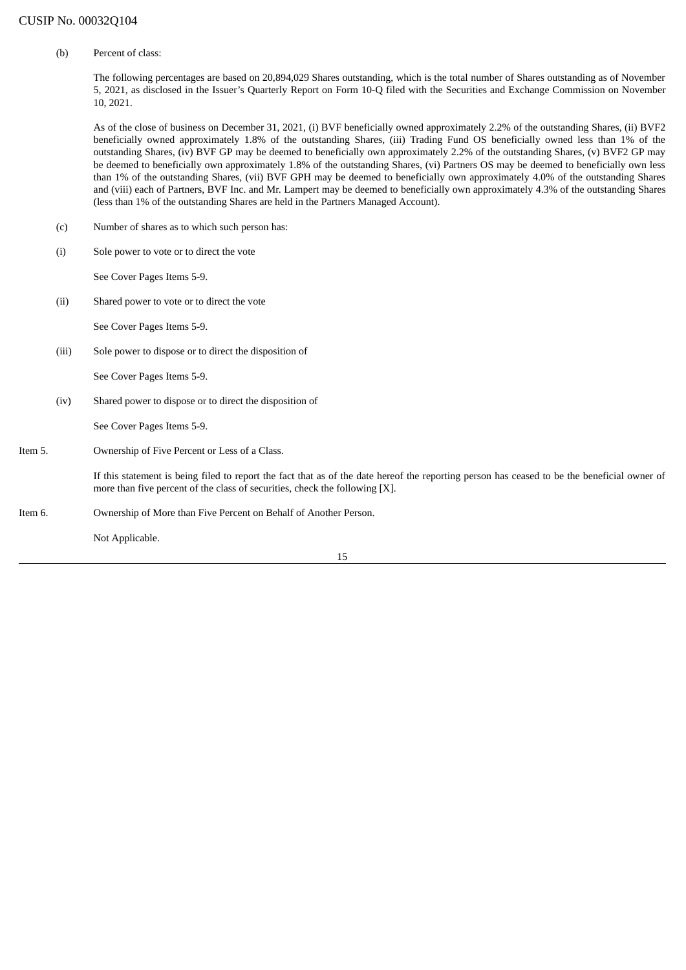(b) Percent of class:

The following percentages are based on 20,894,029 Shares outstanding, which is the total number of Shares outstanding as of November 5, 2021, as disclosed in the Issuer's Quarterly Report on Form 10-Q filed with the Securities and Exchange Commission on November 10, 2021.

As of the close of business on December 31, 2021, (i) BVF beneficially owned approximately 2.2% of the outstanding Shares, (ii) BVF2 beneficially owned approximately 1.8% of the outstanding Shares, (iii) Trading Fund OS beneficially owned less than 1% of the outstanding Shares, (iv) BVF GP may be deemed to beneficially own approximately 2.2% of the outstanding Shares, (v) BVF2 GP may be deemed to beneficially own approximately 1.8% of the outstanding Shares, (vi) Partners OS may be deemed to beneficially own less than 1% of the outstanding Shares, (vii) BVF GPH may be deemed to beneficially own approximately 4.0% of the outstanding Shares and (viii) each of Partners, BVF Inc. and Mr. Lampert may be deemed to beneficially own approximately 4.3% of the outstanding Shares (less than 1% of the outstanding Shares are held in the Partners Managed Account).

- (c) Number of shares as to which such person has:
- (i) Sole power to vote or to direct the vote

See Cover Pages Items 5-9.

(ii) Shared power to vote or to direct the vote

See Cover Pages Items 5-9.

(iii) Sole power to dispose or to direct the disposition of

See Cover Pages Items 5-9.

(iv) Shared power to dispose or to direct the disposition of

See Cover Pages Items 5-9.

Item 5. Ownership of Five Percent or Less of a Class.

If this statement is being filed to report the fact that as of the date hereof the reporting person has ceased to be the beneficial owner of more than five percent of the class of securities, check the following [X].

Item 6. Ownership of More than Five Percent on Behalf of Another Person.

Not Applicable.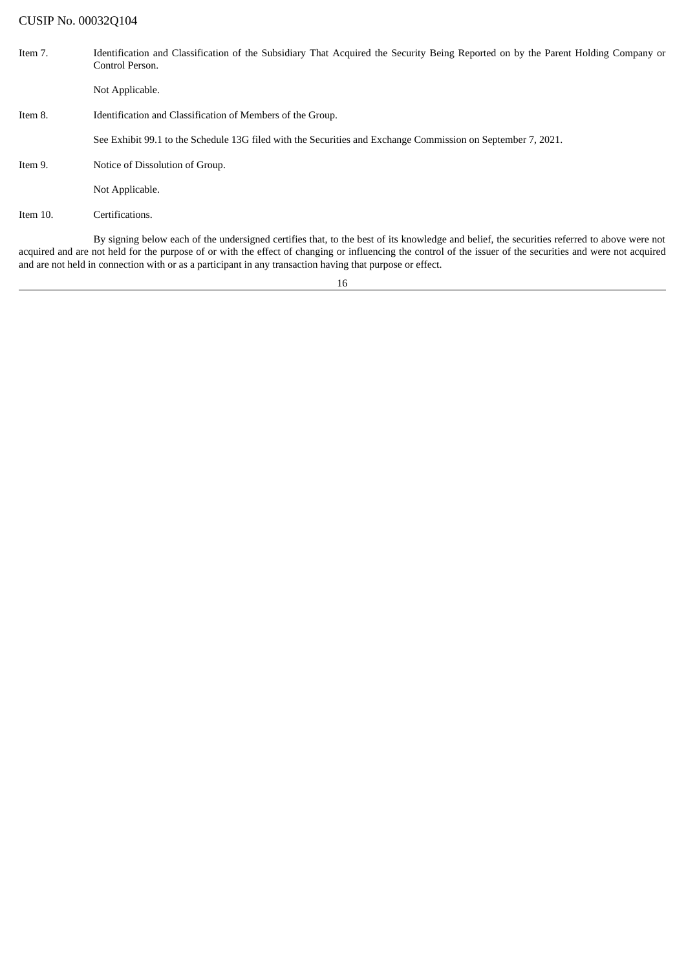| Item 7.  | Identification and Classification of the Subsidiary That Acquired the Security Being Reported on by the Parent Holding Company or<br>Control Person. |
|----------|------------------------------------------------------------------------------------------------------------------------------------------------------|
|          | Not Applicable.                                                                                                                                      |
| Item 8.  | Identification and Classification of Members of the Group.                                                                                           |
|          | See Exhibit 99.1 to the Schedule 13G filed with the Securities and Exchange Commission on September 7, 2021.                                         |
| Item 9.  | Notice of Dissolution of Group.                                                                                                                      |
|          | Not Applicable.                                                                                                                                      |
| Item 10. | Certifications.                                                                                                                                      |
|          | By signing below each of the undersigned certifies that, to the best of its knowledge and belief, the securities referred to above were not          |

16

acquired and are not held for the purpose of or with the effect of changing or influencing the control of the issuer of the securities and were not acquired

and are not held in connection with or as a participant in any transaction having that purpose or effect.